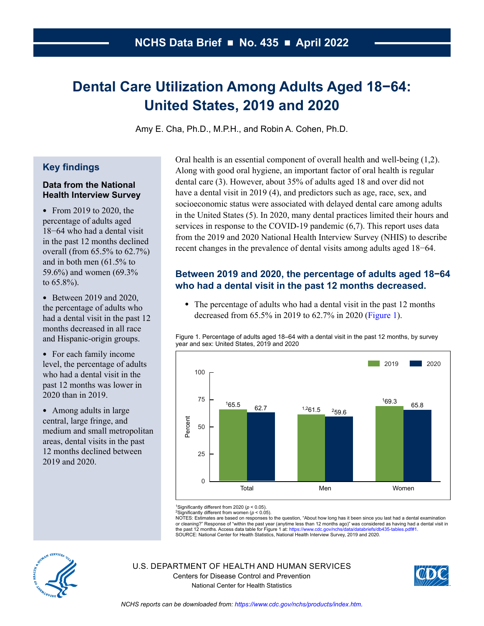# **Dental Care Utilization Among Adults Aged 18−64: United States, 2019 and 2020**

Amy E. Cha, Ph.D., M.P.H., and Robin A. Cohen, Ph.D.

#### **Key findings**

#### **Data from the National Health Interview Survey**

• From 2019 to 2020, the percentage of adults aged 18−64 who had a dental visit in the past 12 months declined overall (from 65.5% to 62.7%) and in both men (61.5% to 59.6%) and women (69.3% to 65.8%).

• Between 2019 and 2020, the percentage of adults who had a dental visit in the past 12 months decreased in all race and Hispanic-origin groups.

<span id="page-0-0"></span>• For each family income level, the percentage of adults who had a dental visit in the past 12 months was lower in 2020 than in 2019.

• Among adults in large central, large fringe, and medium and small metropolitan areas, dental visits in the past 12 months declined between 2019 and 2020.

Oral health is an essential component of overall health and well-being (1,2). Along with good oral hygiene, an important factor of oral health is regular dental care (3). However, about 35% of adults aged 18 and over did not have a dental visit in 2019 (4), and predictors such as age, race, sex, and socioeconomic status were associated with delayed dental care among adults in the United States (5). In 2020, many dental practices limited their hours and services in response to the COVID-19 pandemic (6,7). This report uses data from the 2019 and 2020 National Health Interview Survey (NHIS) to describe recent changes in the prevalence of dental visits among adults aged 18−64.

# **Between 2019 and 2020, the percentage of adults aged 18−64 who had a dental visit in the past 12 months decreased.**

• The percentage of adults who had a dental visit in the past 12 months decreased from 65.5% in 2019 to 62.7% in 2020 [\(Figure 1\)](#page-0-0).

Figure 1. Percentage of adults aged 18–64 with a dental visit in the past 12 months, by survey year and sex: United States, 2019 and 2020



1Significantly different from 2020 (*p* < 0.05).

2Significantly different from women (*p* < 0.05). NOTES: Estimates are based on responses to the question, "About how long has it been since you last had a dental examination or cleaning?" Response of "within the past year (anytime less than 12 months ago)" was considered as having had a dental visit in

the past 12 months. Access data table for Figure 1 at[: https://www.cdc.gov/nchs/data/databriefs/db435-tables.pdf#1.](https://www.cdc.gov/nchs/data/databriefs/db435-tables.pdf#1)<br>SOURCE: National Center for Health Statistics, National Health Interview Survey, 2019 and 2020.



U.S. DEPARTMENT OF HEALTH AND HUMAN SERVICES Centers for Disease Control and Prevention National Center for Health Statistics

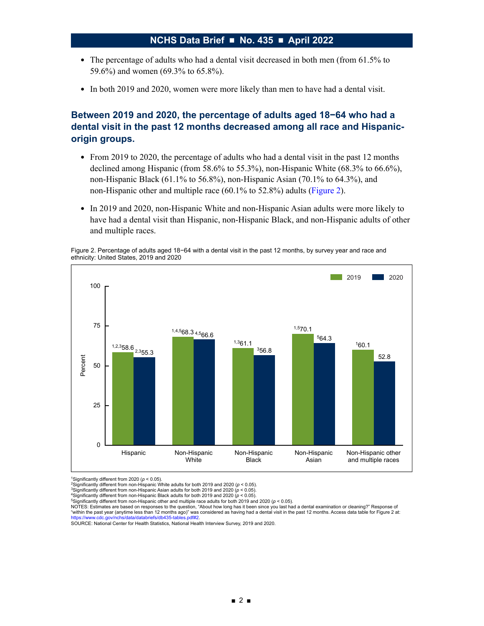- The percentage of adults who had a dental visit decreased in both men (from 61.5% to 59.6%) and women (69.3% to 65.8%).
- In both 2019 and 2020, women were more likely than men to have had a dental visit.

# **Between 2019 and 2020, the percentage of adults aged 18−64 who had a dental visit in the past 12 months decreased among all race and Hispanicorigin groups.**

- From 2019 to 2020, the percentage of adults who had a dental visit in the past 12 months declined among Hispanic (from 58.6% to 55.3%), non-Hispanic White (68.3% to 66.6%), non-Hispanic Black (61.1% to 56.8%), non-Hispanic Asian (70.1% to 64.3%), and non-Hispanic other and multiple race (60.1% to 52.8%) adults [\(Figure 2\)](#page-1-0).
- In 2019 and 2020, non-Hispanic White and non-Hispanic Asian adults were more likely to have had a dental visit than Hispanic, non-Hispanic Black, and non-Hispanic adults of other and multiple races.

<span id="page-1-0"></span>Figure 2. Percentage of adults aged 18−64 with a dental visit in the past 12 months, by survey year and race and ethnicity: United States, 2019 and 2020



1Significantly different from 2020 (*p* < 0.05).

5Significantly different from non-Hispanic other and multiple race adults for both 2019 and 2020 (*p* < 0.05).

NOTES: Estimates are based on responses to the question, "About how long has it been since you last had a dental examination or cleaning?" Response of "within the past year (anytime less than 12 months ago)" was considered as having had a dental visit in the past 12 months. Access data table for Figure 2 at:

SOURCE: National Center for Health Statistics, National Health Interview Survey, 2019 and 2020.

<sup>2</sup>Significantly different from non-Hispanic White adults for both 2019 and 2020 (*p* < 0.05).

<sup>3</sup>Significantly different from non-Hispanic Asian adults for both 2019 and 2020 (*p* < 0.05). 4Significantly different from non-Hispanic Black adults for both 2019 and 2020 (*p* < 0.05).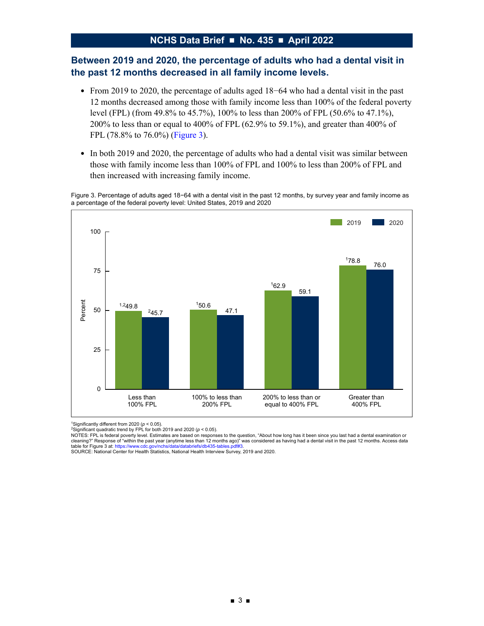#### **Between 2019 and 2020, the percentage of adults who had a dental visit in the past 12 months decreased in all family income levels.**

- From 2019 to 2020, the percentage of adults aged 18−64 who had a dental visit in the past 12 months decreased among those with family income less than 100% of the federal poverty level (FPL) (from 49.8% to 45.7%), 100% to less than 200% of FPL (50.6% to 47.1%), 200% to less than or equal to 400% of FPL (62.9% to 59.1%), and greater than 400% of FPL (78.8% to 76.0%) [\(Figure 3\)](#page-2-0).
- In both 2019 and 2020, the percentage of adults who had a dental visit was similar between those with family income less than 100% of FPL and 100% to less than 200% of FPL and then increased with increasing family income.

Figure 3. Percentage of adults aged 18−64 with a dental visit in the past 12 months, by survey year and family income as a percentage of the federal poverty level: United States, 2019 and 2020

<span id="page-2-0"></span>

1Significantly different from 2020 (*p* < 0.05).

2Significant quadratic trend by FPL for both 2019 and 2020 (*p* < 0.05).

NOTES: FPL is federal poverty level. Estimates are based on responses to the question, "About how long has it been since you last had a dental examination or cleaning?" Response of "within the past year (anytime less than 12 months ago)" was considered as having had a dental visit in the past 12 months. Access data<br>table for Figure 3 at: https://www.cdc.gov/nchs/data/databriefs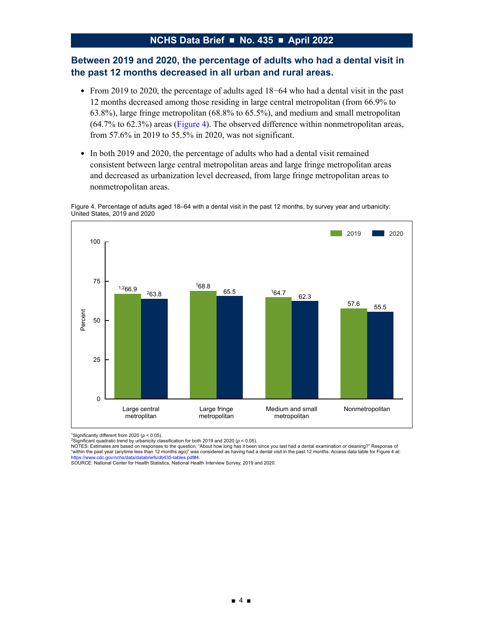#### **Between 2019 and 2020, the percentage of adults who had a dental visit in the past 12 months decreased in all urban and rural areas.**

- From 2019 to 2020, the percentage of adults aged 18−64 who had a dental visit in the past 12 months decreased among those residing in large central metropolitan (from 66.9% to 63.8%), large fringe metropolitan (68.8% to 65.5%), and medium and small metropolitan (64.7% to 62.3%) areas [\(Figure 4\)](#page-3-0). The observed difference within nonmetropolitan areas, from 57.6% in 2019 to 55.5% in 2020, was not significant.
- In both 2019 and 2020, the percentage of adults who had a dental visit remained consistent between large central metropolitan areas and large fringe metropolitan areas and decreased as urbanization level decreased, from large fringe metropolitan areas to nonmetropolitan areas.

Figure 4. Percentage of adults aged 18–64 with a dental visit in the past 12 months, by survey year and urbanicity: United States, 2019 and 2020

<span id="page-3-0"></span>

1Significantly different from 2020 (*p* < 0.05).

2Significant quadratic trend by urbanicity classification for both 2019 and 2020 (*p* < 0.05).

NOTES: Estimates are based on responses to the question, "About how long has it been since you last had a dental examination or cleaning?" Response of "within the past year (anytime less than 12 months ago)" was considered as having had a dental visit in the past 12 months. Access data table for Figure 4 at:

[https://www.cdc.gov/nchs/data/databriefs/db435-tables.pdf#4.](https://www.cdc.gov/nchs/data/databriefs/db435-tables.pdf#4)<br>SOURCE: National Center for Health Statistics, National Health Interview Survey, 2019 and 2020.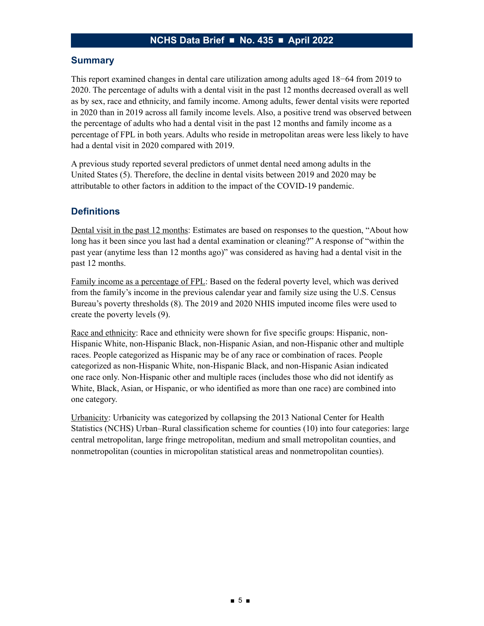#### **Summary**

This report examined changes in dental care utilization among adults aged 18−64 from 2019 to 2020. The percentage of adults with a dental visit in the past 12 months decreased overall as well as by sex, race and ethnicity, and family income. Among adults, fewer dental visits were reported in 2020 than in 2019 across all family income levels. Also, a positive trend was observed between the percentage of adults who had a dental visit in the past 12 months and family income as a percentage of FPL in both years. Adults who reside in metropolitan areas were less likely to have had a dental visit in 2020 compared with 2019.

A previous study reported several predictors of unmet dental need among adults in the United States (5). Therefore, the decline in dental visits between 2019 and 2020 may be attributable to other factors in addition to the impact of the COVID-19 pandemic.

#### **Definitions**

Dental visit in the past 12 months: Estimates are based on responses to the question, "About how long has it been since you last had a dental examination or cleaning?" A response of "within the past year (anytime less than 12 months ago)" was considered as having had a dental visit in the past 12 months.

Family income as a percentage of FPL: Based on the federal poverty level, which was derived from the family's income in the previous calendar year and family size using the U.S. Census Bureau's poverty thresholds (8). The 2019 and 2020 NHIS imputed income files were used to create the poverty levels (9).

Race and ethnicity: Race and ethnicity were shown for five specific groups: Hispanic, non-Hispanic White, non-Hispanic Black, non-Hispanic Asian, and non-Hispanic other and multiple races. People categorized as Hispanic may be of any race or combination of races. People categorized as non-Hispanic White, non-Hispanic Black, and non-Hispanic Asian indicated one race only. Non-Hispanic other and multiple races (includes those who did not identify as White, Black, Asian, or Hispanic, or who identified as more than one race) are combined into one category.

Urbanicity: Urbanicity was categorized by collapsing the 2013 National Center for Health Statistics (NCHS) Urban–Rural classification scheme for counties (10) into four categories: large central metropolitan, large fringe metropolitan, medium and small metropolitan counties, and nonmetropolitan (counties in micropolitan statistical areas and nonmetropolitan counties).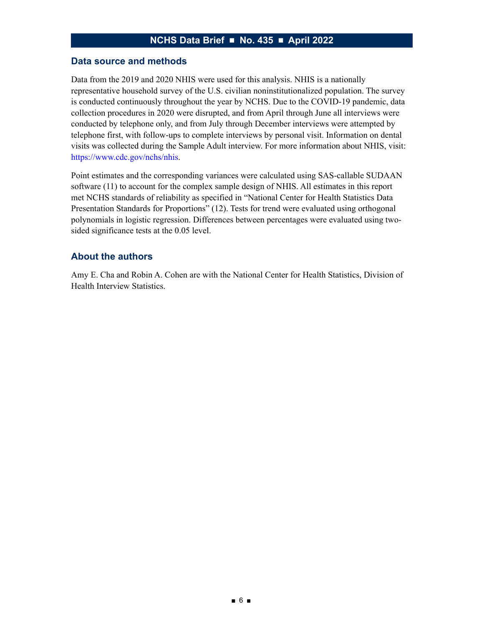#### **Data source and methods**

Data from the 2019 and 2020 NHIS were used for this analysis. NHIS is a nationally representative household survey of the U.S. civilian noninstitutionalized population. The survey is conducted continuously throughout the year by NCHS. Due to the COVID-19 pandemic, data collection procedures in 2020 were disrupted, and from April through June all interviews were conducted by telephone only, and from July through December interviews were attempted by telephone first, with follow-ups to complete interviews by personal visit. Information on dental visits was collected during the Sample Adult interview. For more information about NHIS, visit: [https://www.cdc.gov/nchs/nhis.](https://www.cdc.gov/nchs/nhis)

Point estimates and the corresponding variances were calculated using SAS-callable SUDAAN software (11) to account for the complex sample design of NHIS. All estimates in this report met NCHS standards of reliability as specified in "National Center for Health Statistics Data Presentation Standards for Proportions" (12). Tests for trend were evaluated using orthogonal polynomials in logistic regression. Differences between percentages were evaluated using twosided significance tests at the 0.05 level.

#### **About the authors**

Amy E. Cha and Robin A. Cohen are with the National Center for Health Statistics, Division of Health Interview Statistics.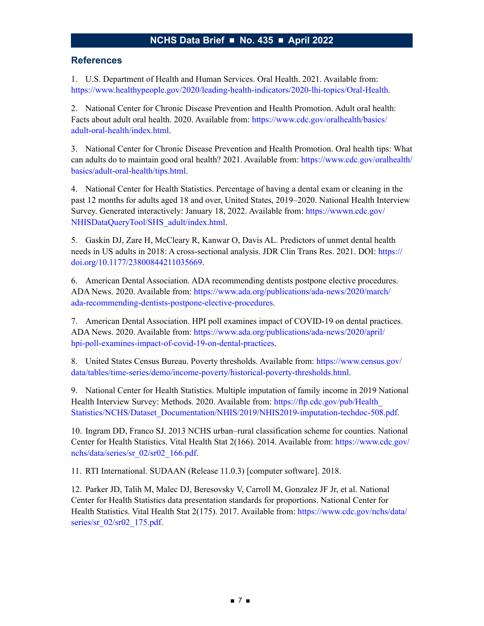#### **References**

1. U.S. Department of Health and Human Services. Oral Health. 2021. Available from: <https://www.healthypeople.gov/2020/leading-health-indicators/2020-lhi-topics/Oral-Health>.

2. National Center for Chronic Disease Prevention and Health Promotion. Adult oral health: Facts about adult oral health. 2020. Available from: [https://www.cdc.gov/oralhealth/basics/](https://www.cdc.gov/oralhealth/basics/adult-oral-health/index.html) [adult-oral-health/index.html.](https://www.cdc.gov/oralhealth/basics/adult-oral-health/index.html)

3. National Center for Chronic Disease Prevention and Health Promotion. Oral health tips: What can adults do to maintain good oral health? 2021. Available from: [https://www.cdc.gov/oralhealth/](https://www.cdc.gov/oralhealth/basics/adult-oral-health/tips.html) [basics/adult-oral-health/tips.html](https://www.cdc.gov/oralhealth/basics/adult-oral-health/tips.html).

4. National Center for Health Statistics. Percentage of having a dental exam or cleaning in the past 12 months for adults aged 18 and over, United States, 2019–2020. National Health Interview Survey. Generated interactively: January 18, 2022. Available from: [https://wwwn.cdc.gov/](https://wwwn.cdc.gov/NHISDataQueryTool/SHS_adult/index.html) [NHISDataQueryTool/SHS\\_adult/index.html](https://wwwn.cdc.gov/NHISDataQueryTool/SHS_adult/index.html).

5. Gaskin DJ, Zare H, McCleary R, Kanwar O, Davis AL. Predictors of unmet dental health needs in US adults in 2018: A cross-sectional analysis. JDR Clin Trans Res. 2021. DOI: [https://](https://doi.org/10.1177/23800844211035669) [doi.org/10.1177/23800844211035669.](https://doi.org/10.1177/23800844211035669)

6. American Dental Association. ADA recommending dentists postpone elective procedures. ADA News. 2020. Available from: [https://www.ada.org/publications/ada-news/2020/march/](https://www.ada.org/publications/ada-news/2020/march/ada-recommending-dentists-postpone-elective-procedures) [ada-recommending-dentists-postpone-elective-procedures](https://www.ada.org/publications/ada-news/2020/march/ada-recommending-dentists-postpone-elective-procedures).

7. American Dental Association. HPI poll examines impact of COVID-19 on dental practices. ADA News. 2020. Available from: [https://www.ada.org/publications/ada-news/2020/april/](https://www.ada.org/publications/ada-news/2020/april/hpi-poll-examines-impact-of-covid-19-on-dental-practices) [hpi-poll-examines-impact-of-covid-19-on-dental-practices](https://www.ada.org/publications/ada-news/2020/april/hpi-poll-examines-impact-of-covid-19-on-dental-practices).

8. United States Census Bureau. Poverty thresholds. Available from: [https://www.census.gov/](https://www.census.gov/data/tables/time-series/demo/income-poverty/historical-poverty-thresholds.html) [data/tables/time-series/demo/income-poverty/historical-poverty-thresholds.html.](https://www.census.gov/data/tables/time-series/demo/income-poverty/historical-poverty-thresholds.html)

9. National Center for Health Statistics. Multiple imputation of family income in 2019 National Health Interview Survey: Methods. 2020. Available from: https://ftp.cdc.gov/pub/Health [Statistics/NCHS/Dataset\\_Documentation/NHIS/2019/NHIS2019-imputation-techdoc-508.pdf.](https://ftp.cdc.gov/pub/Health_Statistics/NCHS/Dataset_Documentation/NHIS/2019/NHIS2019-imputation-techdoc-508.pdf)

10. Ingram DD, Franco SJ. 2013 NCHS urban–rural classification scheme for counties. National Center for Health Statistics. Vital Health Stat 2(166). 2014. Available from: [https://www.cdc.gov/](https://www.cdc.gov/nchs/data/series/sr_02/sr02_166.pdf) [nchs/data/series/sr\\_02/sr02\\_166.pdf.](https://www.cdc.gov/nchs/data/series/sr_02/sr02_166.pdf)

11. RTI International. SUDAAN (Release 11.0.3) [computer software]. 2018.

12. Parker JD, Talih M, Malec DJ, Beresovsky V, Carroll M, Gonzalez JF Jr, et al. National Center for Health Statistics data presentation standards for proportions. National Center for Health Statistics. Vital Health Stat 2(175). 2017. Available from: [https://www.cdc.gov/nchs/data/](https://www.cdc.gov/nchs/data/series/sr_02/sr02_175.pdf) [series/sr\\_02/sr02\\_175.pdf.](https://www.cdc.gov/nchs/data/series/sr_02/sr02_175.pdf)